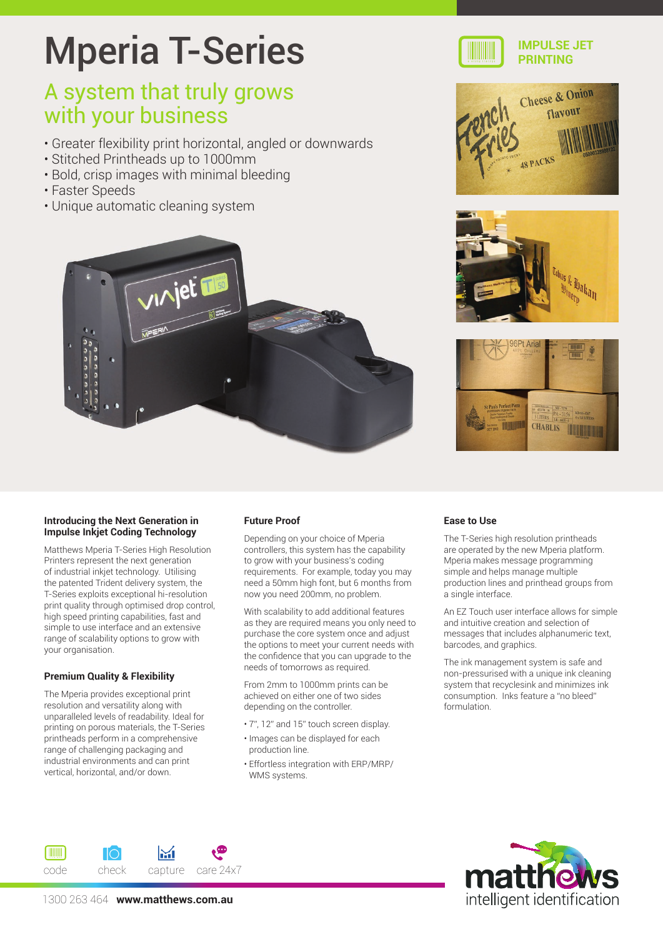# Mperia T-Series

### A system that truly grows with your business

- Greater flexibility print horizontal, angled or downwards
- Stitched Printheads up to 1000mm
- Bold, crisp images with minimal bleeding
- Faster Speeds
- Unique automatic cleaning system











#### **Introducing the Next Generation in Impulse Inkjet Coding Technology**

Matthews Mperia T-Series High Resolution Printers represent the next generation of industrial inkjet technology. Utilising the patented Trident delivery system, the T-Series exploits exceptional hi-resolution print quality through optimised drop control, high speed printing capabilities, fast and simple to use interface and an extensive range of scalability options to grow with your organisation.

#### **Premium Quality & Flexibility**

The Mperia provides exceptional print resolution and versatility along with unparalleled levels of readability. Ideal for printing on porous materials, the T-Series printheads perform in a comprehensive range of challenging packaging and industrial environments and can print vertical, horizontal, and/or down.

#### **Future Proof**

Depending on your choice of Mperia controllers, this system has the capability to grow with your business's coding requirements. For example, today you may need a 50mm high font, but 6 months from now you need 200mm, no problem.

With scalability to add additional features as they are required means you only need to purchase the core system once and adjust the options to meet your current needs with the confidence that you can upgrade to the needs of tomorrows as required.

From 2mm to 1000mm prints can be achieved on either one of two sides depending on the controller.

- 7", 12" and 15" touch screen display.
- Images can be displayed for each production line.
- Effortless integration with ERP/MRP/ WMS systems.

#### **Ease to Use**

The T-Series high resolution printheads are operated by the new Mperia platform. Mperia makes message programming simple and helps manage multiple production lines and printhead groups from a single interface.

An EZ Touch user interface allows for simple and intuitive creation and selection of messages that includes alphanumeric text, barcodes, and graphics.

The ink management system is safe and non-pressurised with a unique ink cleaning system that recyclesink and minimizes ink consumption. Inks feature a "no bleed" formulation.